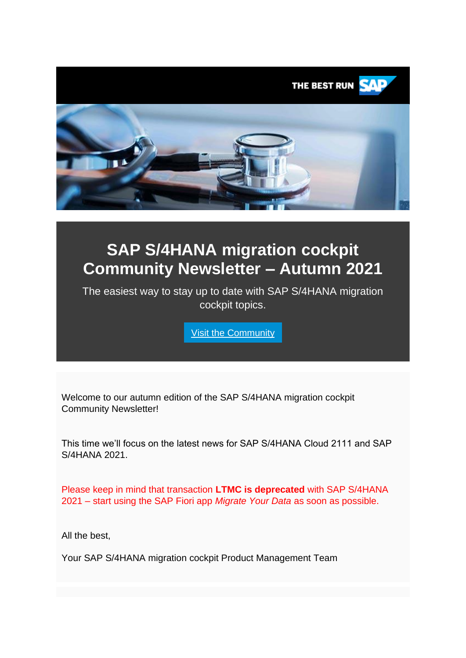

# **SAP S/4HANA migration cockpit Community Newsletter – Autumn 2021**

The easiest way to stay up to date with SAP S/4HANA migration cockpit topics.

[Visit the Community](https://smc-link.s4hana.ondemand.com/eu/data-buffer/sap/public/cuan/link/100/86A407E4F3AA0D717FC0041E290F07FBFB7D07C2?_V_=2&_K11_=B1498D8B616AD1086B8E5DF78E1F18A8966FEFFE&_L54AD1F204_=c2NlbmFyaW89TUxDUEcmdGVuYW50PW15MzAwNzIzLnM0aGFuYS5vbmRlbWFuZC5jb20mdGFyZ2V0PWh0dHBzOi8vY29tbXVuaXR5LnNhcC5jb20vdG9waWNzL3M0aGFuYS1taWdyYXRpb24tY29ja3BpdD9zYXAtb3V0Ym91bmQtaWQ9ODZBNDA3RTRGM0FBMEQ3MTdGQzAwNDFFMjkwRjA3RkJGQjdEMDdDMiZzbWNfY2FtcGFpZ25faWQ9MDAwMDAyMjI2NyZzb3VyY2U9ZW1haWwtc21j&_K13_=333&_K14_=a73c40b43a8ae1363c240be0656d66361c8fbe879ded55df84383d4eefa27e6b)

Welcome to our autumn edition of the SAP S/4HANA migration cockpit Community Newsletter!

This time we'll focus on the latest news for SAP S/4HANA Cloud 2111 and SAP S/4HANA 2021.

Please keep in mind that transaction **LTMC is deprecated** with SAP S/4HANA 2021 – start using the SAP Fiori app *Migrate Your Data* as soon as possible.

All the best,

Your SAP S/4HANA migration cockpit Product Management Team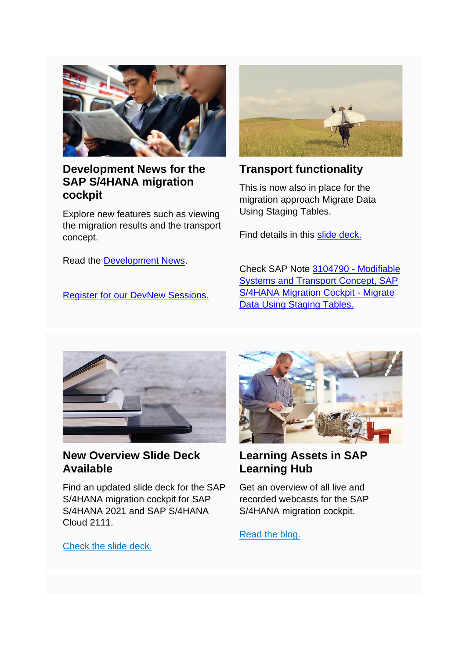

## **Development News for the SAP S/4HANA migration cockpit**

Explore new features such as viewing the migration results and the transport concept.

Read the [Development News.](https://smc-link.s4hana.ondemand.com/eu/data-buffer/sap/public/cuan/link/100/86A407E4F3AA0D717FC0041E290F07FBFB7D07C2?_V_=2&_K11_=E3399532CAE908F4AF94205FC1F56552F20C4429&_L54AD1F204_=c2NlbmFyaW89TUxDUEcmdGVuYW50PW15MzAwNzIzLnM0aGFuYS5vbmRlbWFuZC5jb20mdGFyZ2V0PWh0dHBzOi8vd3d3LnNhcC5jb20vZG9jdW1lbnRzLzIwMjEvMTAvNDAxMTY5ZDAtMDA3ZS0wMDEwLWJjYTYtYzY4ZjdlNjAwMzliLmh0bWw/c2FwLW91dGJvdW5kLWlkPTg2QTQwN0U0RjNBQTBENzE3RkMwMDQxRTI5MEYwN0ZCRkI3RDA3QzImc21jX2NhbXBhaWduX2lkPTAwMDAwMjIyNjcmc291cmNlPWVtYWlsLXNtYw&_K13_=333&_K14_=0df041609234c07e5f8add02a793184ea15cdb35f422801be6f78ebdee9da691)

[Register for our DevNew Sessions.](#page-2-0)



# **Transport functionality**

This is now also in place for the migration approach Migrate Data Using Staging Tables.

Find details in this [slide deck.](https://smc-link.s4hana.ondemand.com/eu/data-buffer/sap/public/cuan/link/100/86A407E4F3AA0D717FC0041E290F07FBFB7D07C2?_V_=2&_K11_=EF4B6CCFC1D6550E114ED849B0533D2C14B9B617&_L54AD1F204_=c2NlbmFyaW89TUxDUEcmdGVuYW50PW15MzAwNzIzLnM0aGFuYS5vbmRlbWFuZC5jb20mdGFyZ2V0PWh0dHBzOi8vd3d3LnNhcC5jb20vZG9jdW1lbnRzLzIwMjEvMTAvNmFmNTkyOWQtMDA3ZS0wMDEwLWJjYTYtYzY4ZjdlNjAwMzliLmh0bWw/c2FwLW91dGJvdW5kLWlkPTg2QTQwN0U0RjNBQTBENzE3RkMwMDQxRTI5MEYwN0ZCRkI3RDA3QzImc21jX2NhbXBhaWduX2lkPTAwMDAwMjIyNjcmc291cmNlPWVtYWlsLXNtYw&_K13_=333&_K14_=bf6bd485abab84eac2d46a17fe4059f60edc48405f5165918db8318ed2224f6f)

Check SAP Note 3104790 - [Modifiable](https://smc-link.s4hana.ondemand.com/eu/data-buffer/sap/public/cuan/link/100/86A407E4F3AA0D717FC0041E290F07FBFB7D07C2?_V_=2&_K11_=5596D79046217D31AB052533F5C62E3FEDE8381E&_L54AD1F204_=c2NlbmFyaW89TUxDUEcmdGVuYW50PW15MzAwNzIzLnM0aGFuYS5vbmRlbWFuZC5jb20mdGFyZ2V0PWh0dHBzOi8vbGF1bmNocGFkLnN1cHBvcnQuc2FwLmNvbS8/c2FwLW91dGJvdW5kLWlkPTg2QTQwN0U0RjNBQTBENzE3RkMwMDQxRTI5MEYwN0ZCRkI3RDA3QzImc21jX2NhbXBhaWduX2lkPTAwMDAwMjIyNjcmc291cmNlPWVtYWlsLXNtYyMvbm90ZXMvMzEwNDc5MA&_K13_=333&_K14_=10dc2d7e02efec02a2e8be2e434ee09df097e5d76ba45e6cf8ec1ed1896e7359)  [Systems and Transport Concept, SAP](https://smc-link.s4hana.ondemand.com/eu/data-buffer/sap/public/cuan/link/100/86A407E4F3AA0D717FC0041E290F07FBFB7D07C2?_V_=2&_K11_=5596D79046217D31AB052533F5C62E3FEDE8381E&_L54AD1F204_=c2NlbmFyaW89TUxDUEcmdGVuYW50PW15MzAwNzIzLnM0aGFuYS5vbmRlbWFuZC5jb20mdGFyZ2V0PWh0dHBzOi8vbGF1bmNocGFkLnN1cHBvcnQuc2FwLmNvbS8/c2FwLW91dGJvdW5kLWlkPTg2QTQwN0U0RjNBQTBENzE3RkMwMDQxRTI5MEYwN0ZCRkI3RDA3QzImc21jX2NhbXBhaWduX2lkPTAwMDAwMjIyNjcmc291cmNlPWVtYWlsLXNtYyMvbm90ZXMvMzEwNDc5MA&_K13_=333&_K14_=10dc2d7e02efec02a2e8be2e434ee09df097e5d76ba45e6cf8ec1ed1896e7359)  [S/4HANA Migration Cockpit -](https://smc-link.s4hana.ondemand.com/eu/data-buffer/sap/public/cuan/link/100/86A407E4F3AA0D717FC0041E290F07FBFB7D07C2?_V_=2&_K11_=5596D79046217D31AB052533F5C62E3FEDE8381E&_L54AD1F204_=c2NlbmFyaW89TUxDUEcmdGVuYW50PW15MzAwNzIzLnM0aGFuYS5vbmRlbWFuZC5jb20mdGFyZ2V0PWh0dHBzOi8vbGF1bmNocGFkLnN1cHBvcnQuc2FwLmNvbS8/c2FwLW91dGJvdW5kLWlkPTg2QTQwN0U0RjNBQTBENzE3RkMwMDQxRTI5MEYwN0ZCRkI3RDA3QzImc21jX2NhbXBhaWduX2lkPTAwMDAwMjIyNjcmc291cmNlPWVtYWlsLXNtYyMvbm90ZXMvMzEwNDc5MA&_K13_=333&_K14_=10dc2d7e02efec02a2e8be2e434ee09df097e5d76ba45e6cf8ec1ed1896e7359) Migrate [Data Using Staging Tables.](https://smc-link.s4hana.ondemand.com/eu/data-buffer/sap/public/cuan/link/100/86A407E4F3AA0D717FC0041E290F07FBFB7D07C2?_V_=2&_K11_=5596D79046217D31AB052533F5C62E3FEDE8381E&_L54AD1F204_=c2NlbmFyaW89TUxDUEcmdGVuYW50PW15MzAwNzIzLnM0aGFuYS5vbmRlbWFuZC5jb20mdGFyZ2V0PWh0dHBzOi8vbGF1bmNocGFkLnN1cHBvcnQuc2FwLmNvbS8/c2FwLW91dGJvdW5kLWlkPTg2QTQwN0U0RjNBQTBENzE3RkMwMDQxRTI5MEYwN0ZCRkI3RDA3QzImc21jX2NhbXBhaWduX2lkPTAwMDAwMjIyNjcmc291cmNlPWVtYWlsLXNtYyMvbm90ZXMvMzEwNDc5MA&_K13_=333&_K14_=10dc2d7e02efec02a2e8be2e434ee09df097e5d76ba45e6cf8ec1ed1896e7359)



#### **New Overview Slide Deck Available**

Find an updated slide deck for the SAP S/4HANA migration cockpit for SAP S/4HANA 2021 and SAP S/4HANA Cloud 2111.



## **Learning Assets in SAP Learning Hub**

Get an overview of all live and recorded webcasts for the SAP [S/4HANA migration cockpit.](https://smc-link.s4hana.ondemand.com/eu/data-buffer/sap/public/cuan/link/100/86A407E4F3AA0D717FC0041E290F07FBFB7D07C2?_V_=2&_K11_=98F5704DB0FC27FCBD37E1BB2CF5341506FB79C4&_L54AD1F204_=c2NlbmFyaW89TUxDUEcmdGVuYW50PW15MzAwNzIzLnM0aGFuYS5vbmRlbWFuZC5jb20mdGFyZ2V0PWh0dHBzOi8vbGF1bmNocGFkLnN1cHBvcnQuc2FwLmNvbS8/c2FwLW91dGJvdW5kLWlkPTg2QTQwN0U0RjNBQTBENzE3RkMwMDQxRTI5MEYwN0ZCRkI3RDA3QzImc21jX2NhbXBhaWduX2lkPTAwMDAwMjIyNjcmc291cmNlPWVtYWlsLXNtYyMvbm90ZXMvMzA4MTk4MQ&_K13_=333&_K14_=01831294446ec651591318e54665d751a6f8b908284da3c89461d59b8c87b8e9)

[Read the blog.](https://smc-link.s4hana.ondemand.com/eu/data-buffer/sap/public/cuan/link/100/86A407E4F3AA0D717FC0041E290F07FBFB7D07C2?_V_=2&_K11_=8C6900FBC6D8FC35D4536092AFD5A54805374272&_L54AD1F204_=c2NlbmFyaW89TUxDUEcmdGVuYW50PW15MzAwNzIzLnM0aGFuYS5vbmRlbWFuZC5jb20mdGFyZ2V0PWh0dHBzOi8vYmxvZ3Muc2FwLmNvbS8yMDIwLzA2LzA1L3RyeS1vdXItbmV3LXNhcC1zLTRoYW5hLW1pZ3JhdGlvbi1jb2NrcGl0LW1pZ3JhdGlvbi1vYmplY3QtbW9kZWxlci1jdXJyaWN1bHVtLz9zYXAtb3V0Ym91bmQtaWQ9ODZBNDA3RTRGM0FBMEQ3MTdGQzAwNDFFMjkwRjA3RkJGQjdEMDdDMiZzbWNfY2FtcGFpZ25faWQ9MDAwMDAyMjI2NyZzb3VyY2U9ZW1haWwtc21j&_K13_=333&_K14_=19b8155af2bc419f451fe42ef33957e8180257b5b3fc80c2ef45348a32eefafb)

[Check the slide deck.](https://smc-link.s4hana.ondemand.com/eu/data-buffer/sap/public/cuan/link/100/86A407E4F3AA0D717FC0041E290F07FBFB7D07C2?_V_=2&_K11_=FD55BED0ECE07E943CAB3F1AAA3D8B965F2D1D51&_L54AD1F204_=c2NlbmFyaW89TUxDUEcmdGVuYW50PW15MzAwNzIzLnM0aGFuYS5vbmRlbWFuZC5jb20mdGFyZ2V0PWh0dHBzOi8vd3d3LnNhcC5jb20vZG9jdW1lbnRzLzIwMTcvMDcvMjYxMTNhYzAtYzQ3Yy0wMDEwLTgyYzctZWRhNzFhZjUxMWZhLmh0bWw/c2FwLW91dGJvdW5kLWlkPTg2QTQwN0U0RjNBQTBENzE3RkMwMDQxRTI5MEYwN0ZCRkI3RDA3QzImc21jX2NhbXBhaWduX2lkPTAwMDAwMjIyNjcmc291cmNlPWVtYWlsLXNtYw&_K13_=333&_K14_=b5100a9bd65e8479e477935fba974b091502c46810b8da24a0b11a1d410b32f8)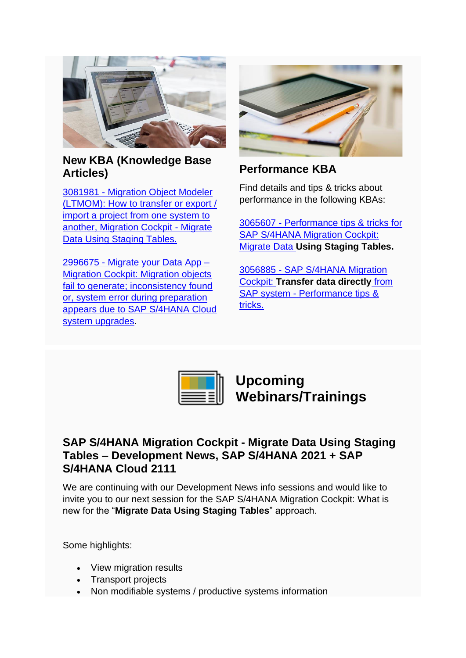

#### **New KBA (Knowledge Base Articles)**

3081981 - [Migration Object Modeler](https://smc-link.s4hana.ondemand.com/eu/data-buffer/sap/public/cuan/link/100/86A407E4F3AA0D717FC0041E290F07FBFB7D07C2?_V_=2&_K11_=DB5EB9724763046A3B642B17BC75418740882391&_L54AD1F204_=c2NlbmFyaW89TUxDUEcmdGVuYW50PW15MzAwNzIzLnM0aGFuYS5vbmRlbWFuZC5jb20mdGFyZ2V0PWh0dHBzOi8vbGF1bmNocGFkLnN1cHBvcnQuc2FwLmNvbS8/c2FwLW91dGJvdW5kLWlkPTg2QTQwN0U0RjNBQTBENzE3RkMwMDQxRTI5MEYwN0ZCRkI3RDA3QzImc21jX2NhbXBhaWduX2lkPTAwMDAwMjIyNjcmc291cmNlPWVtYWlsLXNtYyMvbm90ZXMvMzA4MTk4MQ&_K13_=333&_K14_=caa4806519e5d4344a0f86771e6fee70c13527dc70db91b3be4c58dda345c34c)  [\(LTMOM\): How to transfer or export /](https://smc-link.s4hana.ondemand.com/eu/data-buffer/sap/public/cuan/link/100/86A407E4F3AA0D717FC0041E290F07FBFB7D07C2?_V_=2&_K11_=DB5EB9724763046A3B642B17BC75418740882391&_L54AD1F204_=c2NlbmFyaW89TUxDUEcmdGVuYW50PW15MzAwNzIzLnM0aGFuYS5vbmRlbWFuZC5jb20mdGFyZ2V0PWh0dHBzOi8vbGF1bmNocGFkLnN1cHBvcnQuc2FwLmNvbS8/c2FwLW91dGJvdW5kLWlkPTg2QTQwN0U0RjNBQTBENzE3RkMwMDQxRTI5MEYwN0ZCRkI3RDA3QzImc21jX2NhbXBhaWduX2lkPTAwMDAwMjIyNjcmc291cmNlPWVtYWlsLXNtYyMvbm90ZXMvMzA4MTk4MQ&_K13_=333&_K14_=caa4806519e5d4344a0f86771e6fee70c13527dc70db91b3be4c58dda345c34c)  [import a project from one system to](https://smc-link.s4hana.ondemand.com/eu/data-buffer/sap/public/cuan/link/100/86A407E4F3AA0D717FC0041E290F07FBFB7D07C2?_V_=2&_K11_=DB5EB9724763046A3B642B17BC75418740882391&_L54AD1F204_=c2NlbmFyaW89TUxDUEcmdGVuYW50PW15MzAwNzIzLnM0aGFuYS5vbmRlbWFuZC5jb20mdGFyZ2V0PWh0dHBzOi8vbGF1bmNocGFkLnN1cHBvcnQuc2FwLmNvbS8/c2FwLW91dGJvdW5kLWlkPTg2QTQwN0U0RjNBQTBENzE3RkMwMDQxRTI5MEYwN0ZCRkI3RDA3QzImc21jX2NhbXBhaWduX2lkPTAwMDAwMjIyNjcmc291cmNlPWVtYWlsLXNtYyMvbm90ZXMvMzA4MTk4MQ&_K13_=333&_K14_=caa4806519e5d4344a0f86771e6fee70c13527dc70db91b3be4c58dda345c34c)  [another, Migration Cockpit -](https://smc-link.s4hana.ondemand.com/eu/data-buffer/sap/public/cuan/link/100/86A407E4F3AA0D717FC0041E290F07FBFB7D07C2?_V_=2&_K11_=DB5EB9724763046A3B642B17BC75418740882391&_L54AD1F204_=c2NlbmFyaW89TUxDUEcmdGVuYW50PW15MzAwNzIzLnM0aGFuYS5vbmRlbWFuZC5jb20mdGFyZ2V0PWh0dHBzOi8vbGF1bmNocGFkLnN1cHBvcnQuc2FwLmNvbS8/c2FwLW91dGJvdW5kLWlkPTg2QTQwN0U0RjNBQTBENzE3RkMwMDQxRTI5MEYwN0ZCRkI3RDA3QzImc21jX2NhbXBhaWduX2lkPTAwMDAwMjIyNjcmc291cmNlPWVtYWlsLXNtYyMvbm90ZXMvMzA4MTk4MQ&_K13_=333&_K14_=caa4806519e5d4344a0f86771e6fee70c13527dc70db91b3be4c58dda345c34c) Migrate [Data Using Staging Tables.](https://smc-link.s4hana.ondemand.com/eu/data-buffer/sap/public/cuan/link/100/86A407E4F3AA0D717FC0041E290F07FBFB7D07C2?_V_=2&_K11_=DB5EB9724763046A3B642B17BC75418740882391&_L54AD1F204_=c2NlbmFyaW89TUxDUEcmdGVuYW50PW15MzAwNzIzLnM0aGFuYS5vbmRlbWFuZC5jb20mdGFyZ2V0PWh0dHBzOi8vbGF1bmNocGFkLnN1cHBvcnQuc2FwLmNvbS8/c2FwLW91dGJvdW5kLWlkPTg2QTQwN0U0RjNBQTBENzE3RkMwMDQxRTI5MEYwN0ZCRkI3RDA3QzImc21jX2NhbXBhaWduX2lkPTAwMDAwMjIyNjcmc291cmNlPWVtYWlsLXNtYyMvbm90ZXMvMzA4MTk4MQ&_K13_=333&_K14_=caa4806519e5d4344a0f86771e6fee70c13527dc70db91b3be4c58dda345c34c)

2996675 - [Migrate your Data App –](https://smc-link.s4hana.ondemand.com/eu/data-buffer/sap/public/cuan/link/100/86A407E4F3AA0D717FC0041E290F07FBFB7D07C2?_V_=2&_K11_=429A6CD3BF58D727CBC1378ADCEA6A939BFC8D48&_L54AD1F204_=c2NlbmFyaW89TUxDUEcmdGVuYW50PW15MzAwNzIzLnM0aGFuYS5vbmRlbWFuZC5jb20mdGFyZ2V0PWh0dHBzOi8vbGF1bmNocGFkLnN1cHBvcnQuc2FwLmNvbS8/c2FwLW91dGJvdW5kLWlkPTg2QTQwN0U0RjNBQTBENzE3RkMwMDQxRTI5MEYwN0ZCRkI3RDA3QzImc21jX2NhbXBhaWduX2lkPTAwMDAwMjIyNjcmc291cmNlPWVtYWlsLXNtYyMvbm90ZXMvMjk5NjY3NQ&_K13_=333&_K14_=865757b5f688ffe2dd2ae62d49bb9539f638e8223136346b2fb56bd14726ddee) **Migration Cockpit: Migration objects** [fail to generate; inconsistency found](https://smc-link.s4hana.ondemand.com/eu/data-buffer/sap/public/cuan/link/100/86A407E4F3AA0D717FC0041E290F07FBFB7D07C2?_V_=2&_K11_=429A6CD3BF58D727CBC1378ADCEA6A939BFC8D48&_L54AD1F204_=c2NlbmFyaW89TUxDUEcmdGVuYW50PW15MzAwNzIzLnM0aGFuYS5vbmRlbWFuZC5jb20mdGFyZ2V0PWh0dHBzOi8vbGF1bmNocGFkLnN1cHBvcnQuc2FwLmNvbS8/c2FwLW91dGJvdW5kLWlkPTg2QTQwN0U0RjNBQTBENzE3RkMwMDQxRTI5MEYwN0ZCRkI3RDA3QzImc21jX2NhbXBhaWduX2lkPTAwMDAwMjIyNjcmc291cmNlPWVtYWlsLXNtYyMvbm90ZXMvMjk5NjY3NQ&_K13_=333&_K14_=865757b5f688ffe2dd2ae62d49bb9539f638e8223136346b2fb56bd14726ddee)  [or, system error during preparation](https://smc-link.s4hana.ondemand.com/eu/data-buffer/sap/public/cuan/link/100/86A407E4F3AA0D717FC0041E290F07FBFB7D07C2?_V_=2&_K11_=429A6CD3BF58D727CBC1378ADCEA6A939BFC8D48&_L54AD1F204_=c2NlbmFyaW89TUxDUEcmdGVuYW50PW15MzAwNzIzLnM0aGFuYS5vbmRlbWFuZC5jb20mdGFyZ2V0PWh0dHBzOi8vbGF1bmNocGFkLnN1cHBvcnQuc2FwLmNvbS8/c2FwLW91dGJvdW5kLWlkPTg2QTQwN0U0RjNBQTBENzE3RkMwMDQxRTI5MEYwN0ZCRkI3RDA3QzImc21jX2NhbXBhaWduX2lkPTAwMDAwMjIyNjcmc291cmNlPWVtYWlsLXNtYyMvbm90ZXMvMjk5NjY3NQ&_K13_=333&_K14_=865757b5f688ffe2dd2ae62d49bb9539f638e8223136346b2fb56bd14726ddee)  [appears due to SAP S/4HANA Cloud](https://smc-link.s4hana.ondemand.com/eu/data-buffer/sap/public/cuan/link/100/86A407E4F3AA0D717FC0041E290F07FBFB7D07C2?_V_=2&_K11_=429A6CD3BF58D727CBC1378ADCEA6A939BFC8D48&_L54AD1F204_=c2NlbmFyaW89TUxDUEcmdGVuYW50PW15MzAwNzIzLnM0aGFuYS5vbmRlbWFuZC5jb20mdGFyZ2V0PWh0dHBzOi8vbGF1bmNocGFkLnN1cHBvcnQuc2FwLmNvbS8/c2FwLW91dGJvdW5kLWlkPTg2QTQwN0U0RjNBQTBENzE3RkMwMDQxRTI5MEYwN0ZCRkI3RDA3QzImc21jX2NhbXBhaWduX2lkPTAwMDAwMjIyNjcmc291cmNlPWVtYWlsLXNtYyMvbm90ZXMvMjk5NjY3NQ&_K13_=333&_K14_=865757b5f688ffe2dd2ae62d49bb9539f638e8223136346b2fb56bd14726ddee)  [system upgrades.](https://smc-link.s4hana.ondemand.com/eu/data-buffer/sap/public/cuan/link/100/86A407E4F3AA0D717FC0041E290F07FBFB7D07C2?_V_=2&_K11_=429A6CD3BF58D727CBC1378ADCEA6A939BFC8D48&_L54AD1F204_=c2NlbmFyaW89TUxDUEcmdGVuYW50PW15MzAwNzIzLnM0aGFuYS5vbmRlbWFuZC5jb20mdGFyZ2V0PWh0dHBzOi8vbGF1bmNocGFkLnN1cHBvcnQuc2FwLmNvbS8/c2FwLW91dGJvdW5kLWlkPTg2QTQwN0U0RjNBQTBENzE3RkMwMDQxRTI5MEYwN0ZCRkI3RDA3QzImc21jX2NhbXBhaWduX2lkPTAwMDAwMjIyNjcmc291cmNlPWVtYWlsLXNtYyMvbm90ZXMvMjk5NjY3NQ&_K13_=333&_K14_=865757b5f688ffe2dd2ae62d49bb9539f638e8223136346b2fb56bd14726ddee)



# **Performance KBA**

Find details and tips & tricks about performance in the following KBAs:

3065607 - [Performance tips & tricks for](https://smc-link.s4hana.ondemand.com/eu/data-buffer/sap/public/cuan/link/100/86A407E4F3AA0D717FC0041E290F07FBFB7D07C2?_V_=2&_K11_=00D4F4AFD76519FE2892A76AC1EC88392B749B0D&_L54AD1F204_=c2NlbmFyaW89TUxDUEcmdGVuYW50PW15MzAwNzIzLnM0aGFuYS5vbmRlbWFuZC5jb20mdGFyZ2V0PWh0dHBzOi8vbGF1bmNocGFkLnN1cHBvcnQuc2FwLmNvbS8/c2FwLW91dGJvdW5kLWlkPTg2QTQwN0U0RjNBQTBENzE3RkMwMDQxRTI5MEYwN0ZCRkI3RDA3QzImc21jX2NhbXBhaWduX2lkPTAwMDAwMjIyNjcmc291cmNlPWVtYWlsLXNtYyMvbm90ZXMvMzA2NTYwNw&_K13_=333&_K14_=40aa7873ef26cbed3be18bd44b0c6f1d8df0e640dc707e21d1dbbdff54aedd34)  SAP S/4HANA Migration Cockpit: Migrate Data **[Using Staging Tables.](https://smc-link.s4hana.ondemand.com/eu/data-buffer/sap/public/cuan/link/100/86A407E4F3AA0D717FC0041E290F07FBFB7D07C2?_V_=2&_K11_=00D4F4AFD76519FE2892A76AC1EC88392B749B0D&_L54AD1F204_=c2NlbmFyaW89TUxDUEcmdGVuYW50PW15MzAwNzIzLnM0aGFuYS5vbmRlbWFuZC5jb20mdGFyZ2V0PWh0dHBzOi8vbGF1bmNocGFkLnN1cHBvcnQuc2FwLmNvbS8/c2FwLW91dGJvdW5kLWlkPTg2QTQwN0U0RjNBQTBENzE3RkMwMDQxRTI5MEYwN0ZCRkI3RDA3QzImc21jX2NhbXBhaWduX2lkPTAwMDAwMjIyNjcmc291cmNlPWVtYWlsLXNtYyMvbm90ZXMvMzA2NTYwNw&_K13_=333&_K14_=40aa7873ef26cbed3be18bd44b0c6f1d8df0e640dc707e21d1dbbdff54aedd34)**

3056885 - [SAP S/4HANA Migration](https://smc-link.s4hana.ondemand.com/eu/data-buffer/sap/public/cuan/link/100/86A407E4F3AA0D717FC0041E290F07FBFB7D07C2?_V_=2&_K11_=AD645303CA0F78696FED5A92AE1C05000EA34B60&_L54AD1F204_=c2NlbmFyaW89TUxDUEcmdGVuYW50PW15MzAwNzIzLnM0aGFuYS5vbmRlbWFuZC5jb20mdGFyZ2V0PWh0dHBzOi8vbGF1bmNocGFkLnN1cHBvcnQuc2FwLmNvbS8/c2FwLW91dGJvdW5kLWlkPTg2QTQwN0U0RjNBQTBENzE3RkMwMDQxRTI5MEYwN0ZCRkI3RDA3QzImc21jX2NhbXBhaWduX2lkPTAwMDAwMjIyNjcmc291cmNlPWVtYWlsLXNtYyMvbm90ZXMvMzA1Njg4NQ&_K13_=333&_K14_=367414c4c8259028010850a5d1805a4699f3c7b29fd1befd19631a5e65ee67ae)  Cockpit: **[Transfer data directly](https://smc-link.s4hana.ondemand.com/eu/data-buffer/sap/public/cuan/link/100/86A407E4F3AA0D717FC0041E290F07FBFB7D07C2?_V_=2&_K11_=AD645303CA0F78696FED5A92AE1C05000EA34B60&_L54AD1F204_=c2NlbmFyaW89TUxDUEcmdGVuYW50PW15MzAwNzIzLnM0aGFuYS5vbmRlbWFuZC5jb20mdGFyZ2V0PWh0dHBzOi8vbGF1bmNocGFkLnN1cHBvcnQuc2FwLmNvbS8/c2FwLW91dGJvdW5kLWlkPTg2QTQwN0U0RjNBQTBENzE3RkMwMDQxRTI5MEYwN0ZCRkI3RDA3QzImc21jX2NhbXBhaWduX2lkPTAwMDAwMjIyNjcmc291cmNlPWVtYWlsLXNtYyMvbm90ZXMvMzA1Njg4NQ&_K13_=333&_K14_=367414c4c8259028010850a5d1805a4699f3c7b29fd1befd19631a5e65ee67ae)** from SAP system - [Performance tips &](https://smc-link.s4hana.ondemand.com/eu/data-buffer/sap/public/cuan/link/100/86A407E4F3AA0D717FC0041E290F07FBFB7D07C2?_V_=2&_K11_=AD645303CA0F78696FED5A92AE1C05000EA34B60&_L54AD1F204_=c2NlbmFyaW89TUxDUEcmdGVuYW50PW15MzAwNzIzLnM0aGFuYS5vbmRlbWFuZC5jb20mdGFyZ2V0PWh0dHBzOi8vbGF1bmNocGFkLnN1cHBvcnQuc2FwLmNvbS8/c2FwLW91dGJvdW5kLWlkPTg2QTQwN0U0RjNBQTBENzE3RkMwMDQxRTI5MEYwN0ZCRkI3RDA3QzImc21jX2NhbXBhaWduX2lkPTAwMDAwMjIyNjcmc291cmNlPWVtYWlsLXNtYyMvbm90ZXMvMzA1Njg4NQ&_K13_=333&_K14_=367414c4c8259028010850a5d1805a4699f3c7b29fd1befd19631a5e65ee67ae)  [tricks.](https://smc-link.s4hana.ondemand.com/eu/data-buffer/sap/public/cuan/link/100/86A407E4F3AA0D717FC0041E290F07FBFB7D07C2?_V_=2&_K11_=AD645303CA0F78696FED5A92AE1C05000EA34B60&_L54AD1F204_=c2NlbmFyaW89TUxDUEcmdGVuYW50PW15MzAwNzIzLnM0aGFuYS5vbmRlbWFuZC5jb20mdGFyZ2V0PWh0dHBzOi8vbGF1bmNocGFkLnN1cHBvcnQuc2FwLmNvbS8/c2FwLW91dGJvdW5kLWlkPTg2QTQwN0U0RjNBQTBENzE3RkMwMDQxRTI5MEYwN0ZCRkI3RDA3QzImc21jX2NhbXBhaWduX2lkPTAwMDAwMjIyNjcmc291cmNlPWVtYWlsLXNtYyMvbm90ZXMvMzA1Njg4NQ&_K13_=333&_K14_=367414c4c8259028010850a5d1805a4699f3c7b29fd1befd19631a5e65ee67ae)



**Upcoming Webinars/Trainings**

## <span id="page-2-0"></span>**SAP S/4HANA Migration Cockpit - Migrate Data Using Staging Tables – Development News, SAP S/4HANA 2021 + SAP S/4HANA Cloud 2111**

We are continuing with our Development News info sessions and would like to invite you to our next session for the SAP S/4HANA Migration Cockpit: What is new for the "**Migrate Data Using Staging Tables**" approach.

Some highlights:

- View migration results
- Transport projects
- Non modifiable systems / productive systems information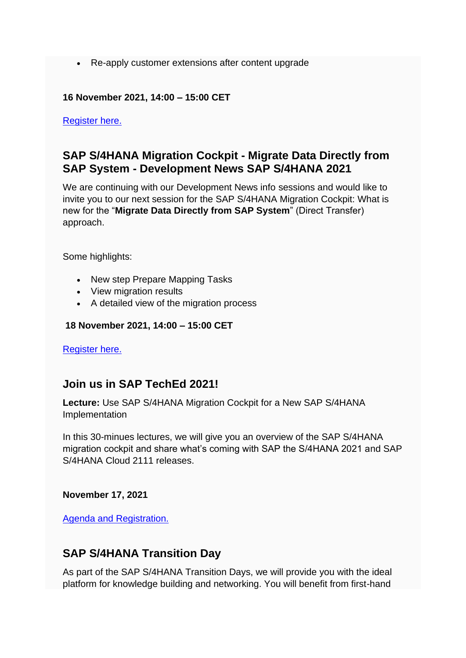• Re-apply customer extensions after content upgrade

#### **16 November 2021, 14:00 – 15:00 CET**

[Register here.](https://smc-link.s4hana.ondemand.com/eu/data-buffer/sap/public/cuan/link/100/86A407E4F3AA0D717FC0041E290F07FBFB7D07C2?_V_=2&_K11_=4C7B68EB07BFDCC4699A61A167827075C7E97BF5&_L54AD1F204_=c2NlbmFyaW89TUxDUEcmdGVuYW50PW15MzAwNzIzLnM0aGFuYS5vbmRlbWFuZC5jb20mdGFyZ2V0PWh0dHBzOi8vd2ViaW5hcnMuc2FwLmNvbS92ZXMtaWQtMjEzMjYtNjI2MDkvZW4vcmVnaXN0cmF0aW9uLmFzcHg/c2FwLW91dGJvdW5kLWlkPTg2QTQwN0U0RjNBQTBENzE3RkMwMDQxRTI5MEYwN0ZCRkI3RDA3QzImc21jX2NhbXBhaWduX2lkPTAwMDAwMjIyNjcmc291cmNlPWVtYWlsLXNtYw&_K13_=333&_K14_=ae3b0078c45efee5e25f53928d6ce672b73f820b6d4feec4bffcc0ffccb89bb7)

#### **SAP S/4HANA Migration Cockpit - Migrate Data Directly from SAP System - Development News SAP S/4HANA 2021**

We are continuing with our Development News info sessions and would like to invite you to our next session for the SAP S/4HANA Migration Cockpit: What is new for the "**Migrate Data Directly from SAP System**" (Direct Transfer) approach.

Some highlights:

- New step Prepare Mapping Tasks
- View migration results
- A detailed view of the migration process

#### **18 November 2021, 14:00 – 15:00 CET**

[Register here.](https://smc-link.s4hana.ondemand.com/eu/data-buffer/sap/public/cuan/link/100/86A407E4F3AA0D717FC0041E290F07FBFB7D07C2?_V_=2&_K11_=0A3A0E68A1CA5AF9BE99DE00E7EF3052FF04B7AA&_L54AD1F204_=c2NlbmFyaW89TUxDUEcmdGVuYW50PW15MzAwNzIzLnM0aGFuYS5vbmRlbWFuZC5jb20mdGFyZ2V0PWh0dHBzOi8vd2ViaW5hcnMuc2FwLmNvbS92ZXMtaWQtMjEzNTgtNjI2NDYvZW4vcmVnaXN0cmF0aW9uLmFzcHg/c2FwLW91dGJvdW5kLWlkPTg2QTQwN0U0RjNBQTBENzE3RkMwMDQxRTI5MEYwN0ZCRkI3RDA3QzImc21jX2NhbXBhaWduX2lkPTAwMDAwMjIyNjcmc291cmNlPWVtYWlsLXNtYw&_K13_=333&_K14_=7e5d15b4c50c47cdcaf5083fbd055fce68d3b86d3880ab2c809b7f7d6e3f76cc)

#### **Join us in SAP TechEd 2021!**

**Lecture:** Use SAP S/4HANA Migration Cockpit for a New SAP S/4HANA Implementation

In this 30-minues lectures, we will give you an overview of the SAP S/4HANA migration cockpit and share what's coming with SAP the S/4HANA 2021 and SAP S/4HANA Cloud 2111 releases.

**November 17, 2021**

[Agenda and Registration.](https://smc-link.s4hana.ondemand.com/eu/data-buffer/sap/public/cuan/link/100/86A407E4F3AA0D717FC0041E290F07FBFB7D07C2?_V_=2&_K11_=DD8BE008D5C5FFCBA812810563297C1655B86A22&_L54AD1F204_=c2NlbmFyaW89TUxDUEcmdGVuYW50PW15MzAwNzIzLnM0aGFuYS5vbmRlbWFuZC5jb20mdGFyZ2V0PWh0dHBzOi8vcmVnLnNhcGV2ZW50cy5zYXAuY29tL2Zsb3cvc2FwL3NhcHRlY2hlZDIwMjEvcG9ydGFsL3BhZ2Uvc2Vzc2lvbnM/c2VhcmNoPURUMTA5JnNhcC1vdXRib3VuZC1pZD04NkE0MDdFNEYzQUEwRDcxN0ZDMDA0MUUyOTBGMDdGQkZCN0QwN0MyJnNtY19jYW1wYWlnbl9pZD0wMDAwMDIyMjY3JnNvdXJjZT1lbWFpbC1zbWM&_K13_=333&_K14_=ca3b06e439be09a359b5a09f8135907b1e473b2d772f698d89772fe3c725e544)

#### **SAP S/4HANA Transition Day**

As part of the SAP S/4HANA Transition Days, we will provide you with the ideal platform for knowledge building and networking. You will benefit from first-hand